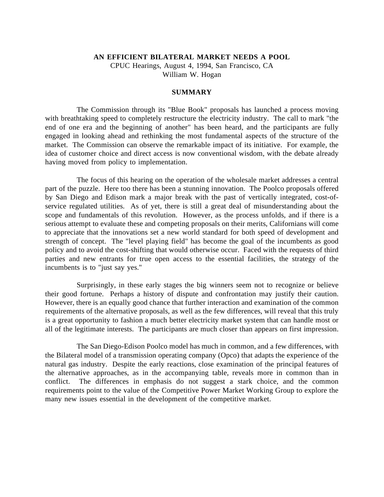## **AN EFFICIENT BILATERAL MARKET NEEDS A POOL**

CPUC Hearings, August 4, 1994, San Francisco, CA William W. Hogan

### **SUMMARY**

The Commission through its "Blue Book" proposals has launched a process moving with breathtaking speed to completely restructure the electricity industry. The call to mark "the end of one era and the beginning of another" has been heard, and the participants are fully engaged in looking ahead and rethinking the most fundamental aspects of the structure of the market. The Commission can observe the remarkable impact of its initiative. For example, the idea of customer choice and direct access is now conventional wisdom, with the debate already having moved from policy to implementation.

The focus of this hearing on the operation of the wholesale market addresses a central part of the puzzle. Here too there has been a stunning innovation. The Poolco proposals offered by San Diego and Edison mark a major break with the past of vertically integrated, cost-ofservice regulated utilities. As of yet, there is still a great deal of misunderstanding about the scope and fundamentals of this revolution. However, as the process unfolds, and if there is a serious attempt to evaluate these and competing proposals on their merits, Californians will come to appreciate that the innovations set a new world standard for both speed of development and strength of concept. The "level playing field" has become the goal of the incumbents as good policy and to avoid the cost-shifting that would otherwise occur. Faced with the requests of third parties and new entrants for true open access to the essential facilities, the strategy of the incumbents is to "just say yes."

Surprisingly, in these early stages the big winners seem not to recognize or believe their good fortune. Perhaps a history of dispute and confrontation may justify their caution. However, there is an equally good chance that further interaction and examination of the common requirements of the alternative proposals, as well as the few differences, will reveal that this truly is a great opportunity to fashion a much better electricity market system that can handle most or all of the legitimate interests. The participants are much closer than appears on first impression.

The San Diego-Edison Poolco model has much in common, and a few differences, with the Bilateral model of a transmission operating company (Opco) that adapts the experience of the natural gas industry. Despite the early reactions, close examination of the principal features of the alternative approaches, as in the accompanying table, reveals more in common than in conflict. The differences in emphasis do not suggest a stark choice, and the common requirements point to the value of the Competitive Power Market Working Group to explore the many new issues essential in the development of the competitive market.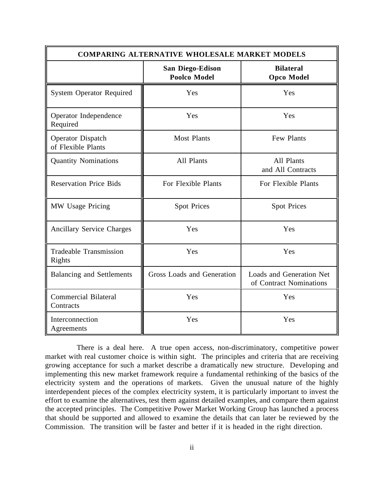| <b>COMPARING ALTERNATIVE WHOLESALE MARKET MODELS</b> |                                                |                                                     |
|------------------------------------------------------|------------------------------------------------|-----------------------------------------------------|
|                                                      | <b>San Diego-Edison</b><br><b>Poolco Model</b> | <b>Bilateral</b><br><b>Opco Model</b>               |
| <b>System Operator Required</b>                      | Yes                                            | Yes                                                 |
| Operator Independence<br>Required                    | Yes                                            | Yes                                                 |
| <b>Operator Dispatch</b><br>of Flexible Plants       | <b>Most Plants</b>                             | Few Plants                                          |
| <b>Quantity Nominations</b>                          | All Plants                                     | All Plants<br>and All Contracts                     |
| <b>Reservation Price Bids</b>                        | For Flexible Plants                            | For Flexible Plants                                 |
| MW Usage Pricing                                     | <b>Spot Prices</b>                             | <b>Spot Prices</b>                                  |
| <b>Ancillary Service Charges</b>                     | Yes                                            | Yes                                                 |
| <b>Tradeable Transmission</b><br>Rights              | Yes                                            | Yes                                                 |
| <b>Balancing and Settlements</b>                     | Gross Loads and Generation                     | Loads and Generation Net<br>of Contract Nominations |
| <b>Commercial Bilateral</b><br>Contracts             | Yes                                            | Yes                                                 |
| Interconnection<br>Agreements                        | Yes                                            | Yes                                                 |

There is a deal here. A true open access, non-discriminatory, competitive power market with real customer choice is within sight. The principles and criteria that are receiving growing acceptance for such a market describe a dramatically new structure. Developing and implementing this new market framework require a fundamental rethinking of the basics of the electricity system and the operations of markets. Given the unusual nature of the highly interdependent pieces of the complex electricity system, it is particularly important to invest the effort to examine the alternatives, test them against detailed examples, and compare them against the accepted principles. The Competitive Power Market Working Group has launched a process that should be supported and allowed to examine the details that can later be reviewed by the Commission. The transition will be faster and better if it is headed in the right direction.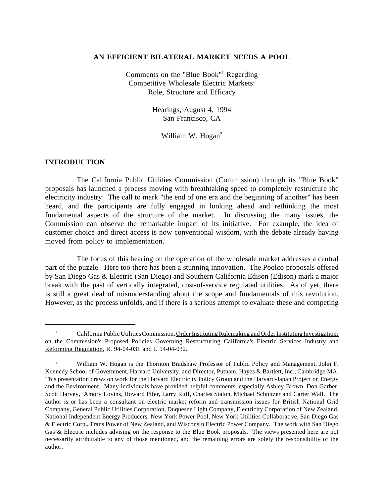## **AN EFFICIENT BILATERAL MARKET NEEDS A POOL**

Comments on the "Blue Book"<sup>1</sup> Regarding Competitive Wholesale Electric Markets: Role, Structure and Efficacy

> Hearings, August 4, 1994 San Francisco, CA

> > William W. Hogan<sup>2</sup>

## **INTRODUCTION**

 $\overline{a}$ 

The California Public Utilities Commission (Commission) through its "Blue Book" proposals has launched a process moving with breathtaking speed to completely restructure the electricity industry. The call to mark "the end of one era and the beginning of another" has been heard, and the participants are fully engaged in looking ahead and rethinking the most fundamental aspects of the structure of the market. In discussing the many issues, the Commission can observe the remarkable impact of its initiative. For example, the idea of customer choice and direct access is now conventional wisdom, with the debate already having moved from policy to implementation.

The focus of this hearing on the operation of the wholesale market addresses a central part of the puzzle. Here too there has been a stunning innovation. The Poolco proposals offered by San Diego Gas & Electric (San Diego) and Southern California Edison (Edison) mark a major break with the past of vertically integrated, cost-of-service regulated utilities. As of yet, there is still a great deal of misunderstanding about the scope and fundamentals of this revolution. However, as the process unfolds, and if there is a serious attempt to evaluate these and competing

California Public Utilities Commission, Order Instituting Rulemaking and Order Instituting Investigation: on the Commission's Proposed Policies Governing Restructuring California's Electric Services Industry and Reforming Regulation, R. 94-04-031 and I. 94-04-032.

<sup>&</sup>lt;sup>2</sup> William W. Hogan is the Thornton Bradshaw Professor of Public Policy and Management, John F. Kennedy School of Government, Harvard University, and Director, Putnam, Hayes & Bartlett, Inc., Cambridge MA. This presentation draws on work for the Harvard Electricity Policy Group and the Harvard-Japan Project on Energy and the Environment. Many individuals have provided helpful comments, especially Ashley Brown, Don Garber, Scott Harvey, Amory Lovins, Howard Pifer, Larry Ruff, Charles Stalon, Michael Schnitzer and Carter Wall. The author is or has been a consultant on electric market reform and transmission issues for British National Grid Company, General Public Utilities Corporation, Duquesne Light Company, Electricity Corporation of New Zealand, National Independent Energy Producers, New York Power Pool, New York Utilities Collaborative, San Diego Gas & Electric Corp., Trans Power of New Zealand, and Wisconsin Electric Power Company. The work with San Diego Gas & Electric includes advising on the response to the Blue Book proposals. The views presented here are not necessarily attributable to any of those mentioned, and the remaining errors are solely the responsibility of the author.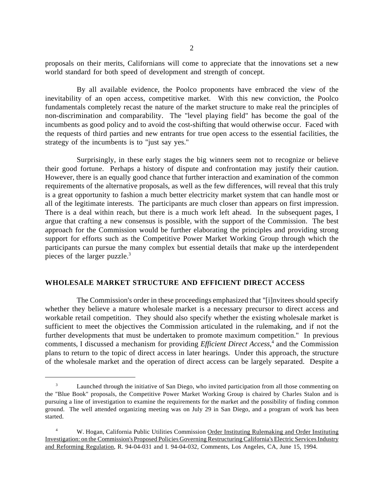proposals on their merits, Californians will come to appreciate that the innovations set a new world standard for both speed of development and strength of concept.

By all available evidence, the Poolco proponents have embraced the view of the inevitability of an open access, competitive market. With this new conviction, the Poolco fundamentals completely recast the nature of the market structure to make real the principles of non-discrimination and comparability. The "level playing field" has become the goal of the incumbents as good policy and to avoid the cost-shifting that would otherwise occur. Faced with the requests of third parties and new entrants for true open access to the essential facilities, the strategy of the incumbents is to "just say yes."

Surprisingly, in these early stages the big winners seem not to recognize or believe their good fortune. Perhaps a history of dispute and confrontation may justify their caution. However, there is an equally good chance that further interaction and examination of the common requirements of the alternative proposals, as well as the few differences, will reveal that this truly is a great opportunity to fashion a much better electricity market system that can handle most or all of the legitimate interests. The participants are much closer than appears on first impression. There is a deal within reach, but there is a much work left ahead. In the subsequent pages, I argue that crafting a new consensus is possible, with the support of the Commission. The best approach for the Commission would be further elaborating the principles and providing strong support for efforts such as the Competitive Power Market Working Group through which the participants can pursue the many complex but essential details that make up the interdependent pieces of the larger puzzle.<sup>3</sup>

## **WHOLESALE MARKET STRUCTURE AND EFFICIENT DIRECT ACCESS**

 $\overline{a}$ 

The Commission's order in these proceedings emphasized that "[i]nvitees should specify whether they believe a mature wholesale market is a necessary precursor to direct access and workable retail competition. They should also specify whether the existing wholesale market is sufficient to meet the objectives the Commission articulated in the rulemaking, and if not the further developments that must be undertaken to promote maximum competition." In previous comments, I discussed a mechanism for providing *Efficient Direct Access*, 4 and the Commission plans to return to the topic of direct access in later hearings. Under this approach, the structure of the wholesale market and the operation of direct access can be largely separated. Despite a

Launched through the initiative of San Diego, who invited participation from all those commenting on the "Blue Book" proposals, the Competitive Power Market Working Group is chaired by Charles Stalon and is pursuing a line of investigation to examine the requirements for the market and the possibility of finding common ground. The well attended organizing meeting was on July 29 in San Diego, and a program of work has been started.

 <sup>4</sup> W. Hogan, California Public Utilities Commission Order Instituting Rulemaking and Order Instituting Investigation: on the Commission's Proposed Policies Governing Restructuring California's Electric Services Industry and Reforming Regulation, R. 94-04-031 and I. 94-04-032, Comments, Los Angeles, CA, June 15, 1994.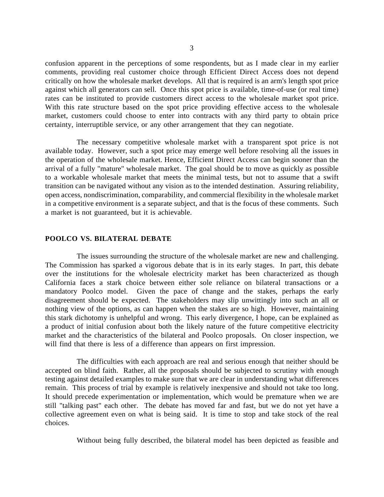confusion apparent in the perceptions of some respondents, but as I made clear in my earlier comments, providing real customer choice through Efficient Direct Access does not depend critically on how the wholesale market develops. All that is required is an arm's length spot price against which all generators can sell. Once this spot price is available, time-of-use (or real time) rates can be instituted to provide customers direct access to the wholesale market spot price. With this rate structure based on the spot price providing effective access to the wholesale market, customers could choose to enter into contracts with any third party to obtain price certainty, interruptible service, or any other arrangement that they can negotiate.

The necessary competitive wholesale market with a transparent spot price is not available today. However, such a spot price may emerge well before resolving all the issues in the operation of the wholesale market. Hence, Efficient Direct Access can begin sooner than the arrival of a fully "mature" wholesale market. The goal should be to move as quickly as possible to a workable wholesale market that meets the minimal tests, but not to assume that a swift transition can be navigated without any vision as to the intended destination. Assuring reliability, open access, nondiscrimination, comparability, and commercial flexibility in the wholesale market in a competitive environment is a separate subject, and that is the focus of these comments. Such a market is not guaranteed, but it is achievable.

## **POOLCO VS. BILATERAL DEBATE**

The issues surrounding the structure of the wholesale market are new and challenging. The Commission has sparked a vigorous debate that is in its early stages. In part, this debate over the institutions for the wholesale electricity market has been characterized as though California faces a stark choice between either sole reliance on bilateral transactions or a mandatory Poolco model. Given the pace of change and the stakes, perhaps the early disagreement should be expected. The stakeholders may slip unwittingly into such an all or nothing view of the options, as can happen when the stakes are so high. However, maintaining this stark dichotomy is unhelpful and wrong. This early divergence, I hope, can be explained as a product of initial confusion about both the likely nature of the future competitive electricity market and the characteristics of the bilateral and Poolco proposals. On closer inspection, we will find that there is less of a difference than appears on first impression.

The difficulties with each approach are real and serious enough that neither should be accepted on blind faith. Rather, all the proposals should be subjected to scrutiny with enough testing against detailed examples to make sure that we are clear in understanding what differences remain. This process of trial by example is relatively inexpensive and should not take too long. It should precede experimentation or implementation, which would be premature when we are still "talking past" each other. The debate has moved far and fast, but we do not yet have a collective agreement even on what is being said. It is time to stop and take stock of the real choices.

Without being fully described, the bilateral model has been depicted as feasible and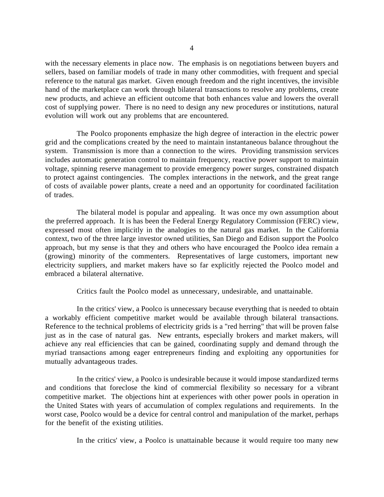with the necessary elements in place now. The emphasis is on negotiations between buyers and sellers, based on familiar models of trade in many other commodities, with frequent and special reference to the natural gas market. Given enough freedom and the right incentives, the invisible hand of the marketplace can work through bilateral transactions to resolve any problems, create new products, and achieve an efficient outcome that both enhances value and lowers the overall cost of supplying power. There is no need to design any new procedures or institutions, natural evolution will work out any problems that are encountered.

The Poolco proponents emphasize the high degree of interaction in the electric power grid and the complications created by the need to maintain instantaneous balance throughout the system. Transmission is more than a connection to the wires. Providing transmission services includes automatic generation control to maintain frequency, reactive power support to maintain voltage, spinning reserve management to provide emergency power surges, constrained dispatch to protect against contingencies. The complex interactions in the network, and the great range of costs of available power plants, create a need and an opportunity for coordinated facilitation of trades.

The bilateral model is popular and appealing. It was once my own assumption about the preferred approach. It is has been the Federal Energy Regulatory Commission (FERC) view, expressed most often implicitly in the analogies to the natural gas market. In the California context, two of the three large investor owned utilities, San Diego and Edison support the Poolco approach, but my sense is that they and others who have encouraged the Poolco idea remain a (growing) minority of the commenters. Representatives of large customers, important new electricity suppliers, and market makers have so far explicitly rejected the Poolco model and embraced a bilateral alternative.

Critics fault the Poolco model as unnecessary, undesirable, and unattainable.

In the critics' view, a Poolco is unnecessary because everything that is needed to obtain a workably efficient competitive market would be available through bilateral transactions. Reference to the technical problems of electricity grids is a "red herring" that will be proven false just as in the case of natural gas. New entrants, especially brokers and market makers, will achieve any real efficiencies that can be gained, coordinating supply and demand through the myriad transactions among eager entrepreneurs finding and exploiting any opportunities for mutually advantageous trades.

In the critics' view, a Poolco is undesirable because it would impose standardized terms and conditions that foreclose the kind of commercial flexibility so necessary for a vibrant competitive market. The objections hint at experiences with other power pools in operation in the United States with years of accumulation of complex regulations and requirements. In the worst case, Poolco would be a device for central control and manipulation of the market, perhaps for the benefit of the existing utilities.

In the critics' view, a Poolco is unattainable because it would require too many new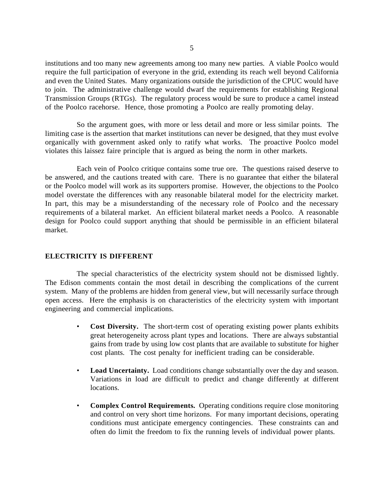institutions and too many new agreements among too many new parties. A viable Poolco would require the full participation of everyone in the grid, extending its reach well beyond California and even the United States. Many organizations outside the jurisdiction of the CPUC would have to join. The administrative challenge would dwarf the requirements for establishing Regional Transmission Groups (RTGs). The regulatory process would be sure to produce a camel instead of the Poolco racehorse. Hence, those promoting a Poolco are really promoting delay.

So the argument goes, with more or less detail and more or less similar points. The limiting case is the assertion that market institutions can never be designed, that they must evolve organically with government asked only to ratify what works. The proactive Poolco model violates this laissez faire principle that is argued as being the norm in other markets.

Each vein of Poolco critique contains some true ore. The questions raised deserve to be answered, and the cautions treated with care. There is no guarantee that either the bilateral or the Poolco model will work as its supporters promise. However, the objections to the Poolco model overstate the differences with any reasonable bilateral model for the electricity market. In part, this may be a misunderstanding of the necessary role of Poolco and the necessary requirements of a bilateral market. An efficient bilateral market needs a Poolco. A reasonable design for Poolco could support anything that should be permissible in an efficient bilateral market.

### **ELECTRICITY IS DIFFERENT**

The special characteristics of the electricity system should not be dismissed lightly. The Edison comments contain the most detail in describing the complications of the current system. Many of the problems are hidden from general view, but will necessarily surface through open access. Here the emphasis is on characteristics of the electricity system with important engineering and commercial implications.

- **Cost Diversity.** The short-term cost of operating existing power plants exhibits great heterogeneity across plant types and locations. There are always substantial gains from trade by using low cost plants that are available to substitute for higher cost plants. The cost penalty for inefficient trading can be considerable.
- **Load Uncertainty.** Load conditions change substantially over the day and season. Variations in load are difficult to predict and change differently at different locations.
- **Complex Control Requirements.** Operating conditions require close monitoring and control on very short time horizons. For many important decisions, operating conditions must anticipate emergency contingencies. These constraints can and often do limit the freedom to fix the running levels of individual power plants.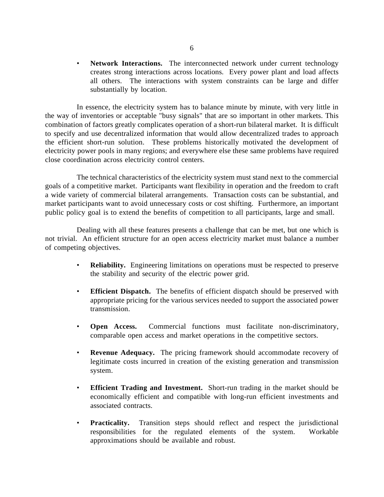• **Network Interactions.** The interconnected network under current technology creates strong interactions across locations. Every power plant and load affects all others. The interactions with system constraints can be large and differ substantially by location.

In essence, the electricity system has to balance minute by minute, with very little in the way of inventories or acceptable "busy signals" that are so important in other markets. This combination of factors greatly complicates operation of a short-run bilateral market. It is difficult to specify and use decentralized information that would allow decentralized trades to approach the efficient short-run solution. These problems historically motivated the development of electricity power pools in many regions; and everywhere else these same problems have required close coordination across electricity control centers.

The technical characteristics of the electricity system must stand next to the commercial goals of a competitive market. Participants want flexibility in operation and the freedom to craft a wide variety of commercial bilateral arrangements. Transaction costs can be substantial, and market participants want to avoid unnecessary costs or cost shifting. Furthermore, an important public policy goal is to extend the benefits of competition to all participants, large and small.

Dealing with all these features presents a challenge that can be met, but one which is not trivial. An efficient structure for an open access electricity market must balance a number of competing objectives.

- **Reliability.** Engineering limitations on operations must be respected to preserve the stability and security of the electric power grid.
- **Efficient Dispatch.** The benefits of efficient dispatch should be preserved with appropriate pricing for the various services needed to support the associated power transmission.
- **Open Access.** Commercial functions must facilitate non-discriminatory, comparable open access and market operations in the competitive sectors.
- **Revenue Adequacy.** The pricing framework should accommodate recovery of legitimate costs incurred in creation of the existing generation and transmission system.
- **Efficient Trading and Investment.** Short-run trading in the market should be economically efficient and compatible with long-run efficient investments and associated contracts.
- **Practicality.** Transition steps should reflect and respect the jurisdictional responsibilities for the regulated elements of the system. Workable approximations should be available and robust.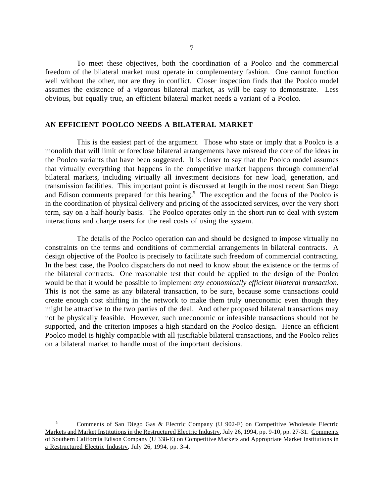To meet these objectives, both the coordination of a Poolco and the commercial freedom of the bilateral market must operate in complementary fashion. One cannot function well without the other, nor are they in conflict. Closer inspection finds that the Poolco model assumes the existence of a vigorous bilateral market, as will be easy to demonstrate. Less obvious, but equally true, an efficient bilateral market needs a variant of a Poolco.

## **AN EFFICIENT POOLCO NEEDS A BILATERAL MARKET**

This is the easiest part of the argument. Those who state or imply that a Poolco is a monolith that will limit or foreclose bilateral arrangements have misread the core of the ideas in the Poolco variants that have been suggested. It is closer to say that the Poolco model assumes that virtually everything that happens in the competitive market happens through commercial bilateral markets, including virtually all investment decisions for new load, generation, and transmission facilities. This important point is discussed at length in the most recent San Diego and Edison comments prepared for this hearing.<sup>5</sup> The exception and the focus of the Poolco is in the coordination of physical delivery and pricing of the associated services, over the very short term, say on a half-hourly basis. The Poolco operates only in the short-run to deal with system interactions and charge users for the real costs of using the system.

The details of the Poolco operation can and should be designed to impose virtually no constraints on the terms and conditions of commercial arrangements in bilateral contracts. A design objective of the Poolco is precisely to facilitate such freedom of commercial contracting. In the best case, the Poolco dispatchers do not need to know about the existence or the terms of the bilateral contracts. One reasonable test that could be applied to the design of the Poolco would be that it would be possible to implement *any economically efficient bilateral transaction*. This is not the same as any bilateral transaction, to be sure, because some transactions could create enough cost shifting in the network to make them truly uneconomic even though they might be attractive to the two parties of the deal. And other proposed bilateral transactions may not be physically feasible. However, such uneconomic or infeasible transactions should not be supported, and the criterion imposes a high standard on the Poolco design. Hence an efficient Poolco model is highly compatible with all justifiable bilateral transactions, and the Poolco relies on a bilateral market to handle most of the important decisions.

 <sup>5</sup> Comments of San Diego Gas & Electric Company (U 902-E) on Competitive Wholesale Electric Markets and Market Institutions in the Restructured Electric Industry, July 26, 1994, pp. 9-10, pp. 27-31. Comments of Southern California Edison Company (U 338-E) on Competitive Markets and Appropriate Market Institutions in a Restructured Electric Industry, July 26, 1994, pp. 3-4.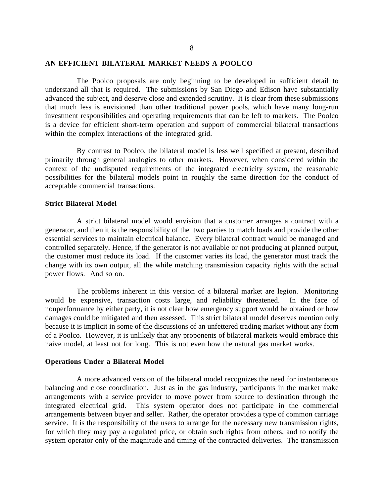### **AN EFFICIENT BILATERAL MARKET NEEDS A POOLCO**

The Poolco proposals are only beginning to be developed in sufficient detail to understand all that is required. The submissions by San Diego and Edison have substantially advanced the subject, and deserve close and extended scrutiny. It is clear from these submissions that much less is envisioned than other traditional power pools, which have many long-run investment responsibilities and operating requirements that can be left to markets. The Poolco is a device for efficient short-term operation and support of commercial bilateral transactions within the complex interactions of the integrated grid.

By contrast to Poolco, the bilateral model is less well specified at present, described primarily through general analogies to other markets. However, when considered within the context of the undisputed requirements of the integrated electricity system, the reasonable possibilities for the bilateral models point in roughly the same direction for the conduct of acceptable commercial transactions.

### **Strict Bilateral Model**

A strict bilateral model would envision that a customer arranges a contract with a generator, and then it is the responsibility of the two parties to match loads and provide the other essential services to maintain electrical balance. Every bilateral contract would be managed and controlled separately. Hence, if the generator is not available or not producing at planned output, the customer must reduce its load. If the customer varies its load, the generator must track the change with its own output, all the while matching transmission capacity rights with the actual power flows. And so on.

The problems inherent in this version of a bilateral market are legion. Monitoring would be expensive, transaction costs large, and reliability threatened. In the face of nonperformance by either party, it is not clear how emergency support would be obtained or how damages could be mitigated and then assessed. This strict bilateral model deserves mention only because it is implicit in some of the discussions of an unfettered trading market without any form of a Poolco. However, it is unlikely that any proponents of bilateral markets would embrace this naive model, at least not for long. This is not even how the natural gas market works.

#### **Operations Under a Bilateral Model**

A more advanced version of the bilateral model recognizes the need for instantaneous balancing and close coordination. Just as in the gas industry, participants in the market make arrangements with a service provider to move power from source to destination through the integrated electrical grid. This system operator does not participate in the commercial arrangements between buyer and seller. Rather, the operator provides a type of common carriage service. It is the responsibility of the users to arrange for the necessary new transmission rights, for which they may pay a regulated price, or obtain such rights from others, and to notify the system operator only of the magnitude and timing of the contracted deliveries. The transmission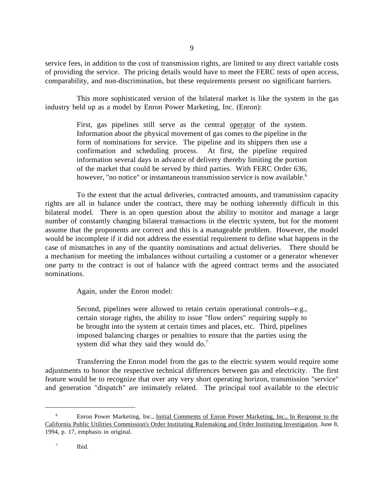service fees, in addition to the cost of transmission rights, are limited to any direct variable costs of providing the service. The pricing details would have to meet the FERC tests of open access, comparability, and non-discrimination, but these requirements present no significant barriers.

This more sophisticated version of the bilateral market is like the system in the gas industry held up as a model by Enron Power Marketing, Inc. (Enron):

> First, gas pipelines still serve as the central operator of the system. Information about the physical movement of gas comes to the pipeline in the form of nominations for service. The pipeline and its shippers then use a confirmation and scheduling process. At first, the pipeline required information several days in advance of delivery thereby limiting the portion of the market that could be served by third parties. With FERC Order 636, however, "no notice" or instantaneous transmission service is now available.<sup>6</sup>

To the extent that the actual deliveries, contracted amounts, and transmission capacity rights are all in balance under the contract, there may be nothing inherently difficult in this bilateral model. There is an open question about the ability to monitor and manage a large number of constantly changing bilateral transactions in the electric system, but for the moment assume that the proponents are correct and this is a manageable problem. However, the model would be incomplete if it did not address the essential requirement to define what happens in the case of mismatches in any of the quantity nominations and actual deliveries. There should be a mechanism for meeting the imbalances without curtailing a customer or a generator whenever one party to the contract is out of balance with the agreed contract terms and the associated nominations.

Again, under the Enron model:

Second, pipelines were allowed to retain certain operational controls--e.g., certain storage rights, the ability to issue "flow orders" requiring supply to be brought into the system at certain times and places, etc. Third, pipelines imposed balancing charges or penalties to ensure that the parties using the system did what they said they would do.<sup>7</sup>

Transferring the Enron model from the gas to the electric system would require some adjustments to honor the respective technical differences between gas and electricity. The first feature would be to recognize that over any very short operating horizon, transmission "service" and generation "dispatch" are intimately related. The principal tool available to the electric

<sup>&</sup>lt;sup>6</sup> Enron Power Marketing, Inc., Initial Comments of Enron Power Marketing, Inc., In Response to the California Public Utilities Commission's Order Instituting Rulemaking and Order Instituting Investigation, June 8, 1994, p. 17, emphasis in original.

 <sup>7</sup> Ibid.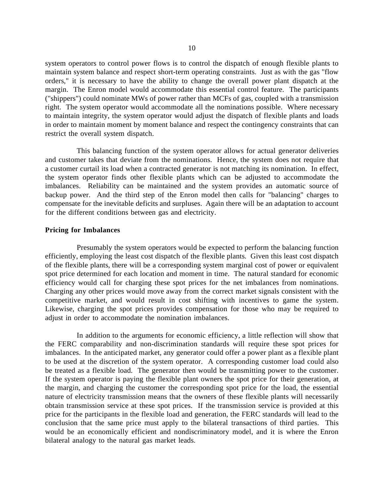system operators to control power flows is to control the dispatch of enough flexible plants to maintain system balance and respect short-term operating constraints. Just as with the gas "flow orders," it is necessary to have the ability to change the overall power plant dispatch at the margin. The Enron model would accommodate this essential control feature. The participants ("shippers") could nominate MWs of power rather than MCFs of gas, coupled with a transmission right. The system operator would accommodate all the nominations possible. Where necessary to maintain integrity, the system operator would adjust the dispatch of flexible plants and loads in order to maintain moment by moment balance and respect the contingency constraints that can restrict the overall system dispatch.

This balancing function of the system operator allows for actual generator deliveries and customer takes that deviate from the nominations. Hence, the system does not require that a customer curtail its load when a contracted generator is not matching its nomination. In effect, the system operator finds other flexible plants which can be adjusted to accommodate the imbalances. Reliability can be maintained and the system provides an automatic source of backup power. And the third step of the Enron model then calls for "balancing" charges to compensate for the inevitable deficits and surpluses. Again there will be an adaptation to account for the different conditions between gas and electricity.

#### **Pricing for Imbalances**

Presumably the system operators would be expected to perform the balancing function efficiently, employing the least cost dispatch of the flexible plants. Given this least cost dispatch of the flexible plants, there will be a corresponding system marginal cost of power or equivalent spot price determined for each location and moment in time. The natural standard for economic efficiency would call for charging these spot prices for the net imbalances from nominations. Charging any other prices would move away from the correct market signals consistent with the competitive market, and would result in cost shifting with incentives to game the system. Likewise, charging the spot prices provides compensation for those who may be required to adjust in order to accommodate the nomination imbalances.

In addition to the arguments for economic efficiency, a little reflection will show that the FERC comparability and non-discrimination standards will require these spot prices for imbalances. In the anticipated market, any generator could offer a power plant as a flexible plant to be used at the discretion of the system operator. A corresponding customer load could also be treated as a flexible load. The generator then would be transmitting power to the customer. If the system operator is paying the flexible plant owners the spot price for their generation, at the margin, and charging the customer the corresponding spot price for the load, the essential nature of electricity transmission means that the owners of these flexible plants will necessarily obtain transmission service at these spot prices. If the transmission service is provided at this price for the participants in the flexible load and generation, the FERC standards will lead to the conclusion that the same price must apply to the bilateral transactions of third parties. This would be an economically efficient and nondiscriminatory model, and it is where the Enron bilateral analogy to the natural gas market leads.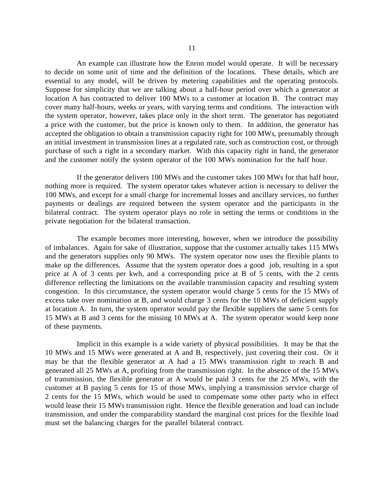An example can illustrate how the Enron model would operate. It will be necessary to decide on some unit of time and the definition of the locations. These details, which are essential to any model, will be driven by metering capabilities and the operating protocols. Suppose for simplicity that we are talking about a half-hour period over which a generator at location A has contracted to deliver 100 MWs to a customer at location B. The contract may cover many half-hours, weeks or years, with varying terms and conditions. The interaction with the system operator, however, takes place only in the short term. The generator has negotiated a price with the customer, but the price is known only to them. In addition, the generator has accepted the obligation to obtain a transmission capacity right for 100 MWs, presumably through an initial investment in transmission lines at a regulated rate, such as construction cost, or through purchase of such a right in a secondary market. With this capacity right in hand, the generator and the customer notify the system operator of the 100 MWs nomination for the half hour.

If the generator delivers 100 MWs and the customer takes 100 MWs for that half hour, nothing more is required. The system operator takes whatever action is necessary to deliver the 100 MWs, and except for a small charge for incremental losses and ancillary services, no further payments or dealings are required between the system operator and the participants in the bilateral contract. The system operator plays no role in setting the terms or conditions in the private negotiation for the bilateral transaction.

The example becomes more interesting, however, when we introduce the possibility of imbalances. Again for sake of illustration, suppose that the customer actually takes 115 MWs and the generators supplies only 90 MWs. The system operator now uses the flexible plants to make up the differences. Assume that the system operator does a good job, resulting in a spot price at A of 3 cents per kwh, and a corresponding price at B of 5 cents, with the 2 cents difference reflecting the limitations on the available transmission capacity and resulting system congestion. In this circumstance, the system operator would charge 5 cents for the 15 MWs of excess take over nomination at B, and would charge 3 cents for the 10 MWs of deficient supply at location A. In turn, the system operator would pay the flexible suppliers the same 5 cents for 15 MWs at B and 3 cents for the missing 10 MWs at A. The system operator would keep none of these payments.

Implicit in this example is a wide variety of physical possibilities. It may be that the 10 MWs and 15 MWs were generated at A and B, respectively, just covering their cost. Or it may be that the flexible generator at A had a 15 MWs transmission right to reach B and generated all 25 MWs at A, profiting from the transmission right. In the absence of the 15 MWs of transmission, the flexible generator at A would be paid 3 cents for the 25 MWs, with the customer at B paying 5 cents for 15 of those MWs, implying a transmission service charge of 2 cents for the 15 MWs, which would be used to compensate some other party who in effect would lease their 15 MWs transmission right. Hence the flexible generation and load can include transmission, and under the comparability standard the marginal cost prices for the flexible load must set the balancing charges for the parallel bilateral contract.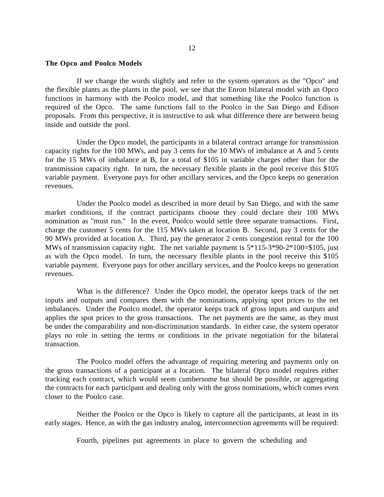### **The Opco and Poolco Models**

If we change the words slightly and refer to the system operators as the "Opco" and the flexible plants as the plants in the pool, we see that the Enron bilateral model with an Opco functions in harmony with the Poolco model, and that something like the Poolco function is required of the Opco. The same functions fall to the Poolco in the San Diego and Edison proposals. From this perspective, it is instructive to ask what difference there are between being inside and outside the pool.

Under the Opco model, the participants in a bilateral contract arrange for transmission capacity rights for the 100 MWs, and pay 3 cents for the 10 MWs of imbalance at A and 5 cents for the 15 MWs of imbalance at B, for a total of \$105 in variable charges other than for the transmission capacity right. In turn, the necessary flexible plants in the pool receive this \$105 variable payment. Everyone pays for other ancillary services, and the Opco keeps no generation revenues.

Under the Poolco model as described in more detail by San Diego, and with the same market conditions, if the contract participants choose they could declare their 100 MWs nomination as "must run." In the event, Poolco would settle three separate transactions. First, charge the customer 5 cents for the 115 MWs taken at location B. Second, pay 3 cents for the 90 MWs provided at location A. Third, pay the generator 2 cents congestion rental for the 100 MWs of transmission capacity right. The net variable payment is 5\*115-3\*90-2\*100=\$105, just as with the Opco model. In turn, the necessary flexible plants in the pool receive this \$105 variable payment. Everyone pays for other ancillary services, and the Poolco keeps no generation revenues.

What is the difference? Under the Opco model, the operator keeps track of the net inputs and outputs and compares them with the nominations, applying spot prices to the net imbalances. Under the Poolco model, the operator keeps track of gross inputs and outputs and applies the spot prices to the gross transactions. The net payments are the same, as they must be under the comparability and non-discrimination standards. In either case, the system operator plays no role in setting the terms or conditions in the private negotiation for the bilateral transaction.

The Poolco model offers the advantage of requiring metering and payments only on the gross transactions of a participant at a location. The bilateral Opco model requires either tracking each contract, which would seem cumbersome but should be possible, or aggregating the contracts for each participant and dealing only with the gross nominations, which comes even closer to the Poolco case.

Neither the Poolco or the Opco is likely to capture all the participants, at least in its early stages. Hence, as with the gas industry analog, interconnection agreements will be required:

Fourth, pipelines put agreements in place to govern the scheduling and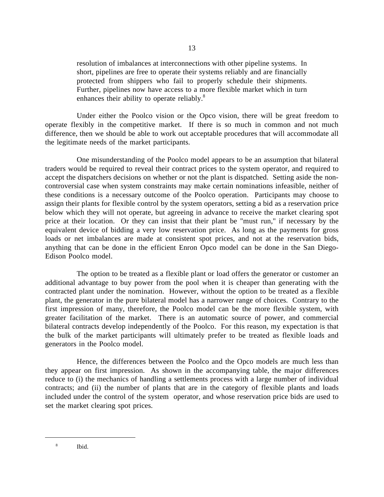resolution of imbalances at interconnections with other pipeline systems. In short, pipelines are free to operate their systems reliably and are financially protected from shippers who fail to properly schedule their shipments. Further, pipelines now have access to a more flexible market which in turn enhances their ability to operate reliably.<sup>8</sup>

Under either the Poolco vision or the Opco vision, there will be great freedom to operate flexibly in the competitive market. If there is so much in common and not much difference, then we should be able to work out acceptable procedures that will accommodate all the legitimate needs of the market participants.

One misunderstanding of the Poolco model appears to be an assumption that bilateral traders would be required to reveal their contract prices to the system operator, and required to accept the dispatchers decisions on whether or not the plant is dispatched. Setting aside the noncontroversial case when system constraints may make certain nominations infeasible, neither of these conditions is a necessary outcome of the Poolco operation. Participants may choose to assign their plants for flexible control by the system operators, setting a bid as a reservation price below which they will not operate, but agreeing in advance to receive the market clearing spot price at their location. Or they can insist that their plant be "must run," if necessary by the equivalent device of bidding a very low reservation price. As long as the payments for gross loads or net imbalances are made at consistent spot prices, and not at the reservation bids, anything that can be done in the efficient Enron Opco model can be done in the San Diego-Edison Poolco model.

The option to be treated as a flexible plant or load offers the generator or customer an additional advantage to buy power from the pool when it is cheaper than generating with the contracted plant under the nomination. However, without the option to be treated as a flexible plant, the generator in the pure bilateral model has a narrower range of choices. Contrary to the first impression of many, therefore, the Poolco model can be the more flexible system, with greater facilitation of the market. There is an automatic source of power, and commercial bilateral contracts develop independently of the Poolco. For this reason, my expectation is that the bulk of the market participants will ultimately prefer to be treated as flexible loads and generators in the Poolco model.

Hence, the differences between the Poolco and the Opco models are much less than they appear on first impression. As shown in the accompanying table, the major differences reduce to (i) the mechanics of handling a settlements process with a large number of individual contracts; and (ii) the number of plants that are in the category of flexible plants and loads included under the control of the system operator, and whose reservation price bids are used to set the market clearing spot prices.

 <sup>8</sup> Ibid.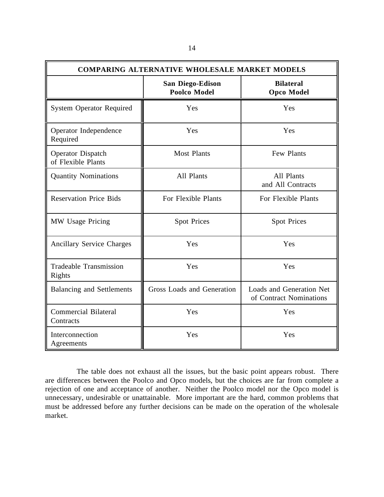| <b>COMPARING ALTERNATIVE WHOLESALE MARKET MODELS</b> |                                                |                                                     |
|------------------------------------------------------|------------------------------------------------|-----------------------------------------------------|
|                                                      | <b>San Diego-Edison</b><br><b>Poolco Model</b> | <b>Bilateral</b><br><b>Opco Model</b>               |
| <b>System Operator Required</b>                      | Yes                                            | Yes                                                 |
| Operator Independence<br>Required                    | Yes                                            | Yes                                                 |
| Operator Dispatch<br>of Flexible Plants              | <b>Most Plants</b>                             | Few Plants                                          |
| <b>Quantity Nominations</b>                          | All Plants                                     | All Plants<br>and All Contracts                     |
| <b>Reservation Price Bids</b>                        | For Flexible Plants                            | For Flexible Plants                                 |
| MW Usage Pricing                                     | <b>Spot Prices</b>                             | <b>Spot Prices</b>                                  |
| <b>Ancillary Service Charges</b>                     | Yes                                            | Yes                                                 |
| <b>Tradeable Transmission</b><br>Rights              | Yes                                            | Yes                                                 |
| <b>Balancing and Settlements</b>                     | Gross Loads and Generation                     | Loads and Generation Net<br>of Contract Nominations |
| <b>Commercial Bilateral</b><br>Contracts             | Yes                                            | Yes                                                 |
| Interconnection<br>Agreements                        | Yes                                            | Yes                                                 |

The table does not exhaust all the issues, but the basic point appears robust. There are differences between the Poolco and Opco models, but the choices are far from complete a rejection of one and acceptance of another. Neither the Poolco model nor the Opco model is unnecessary, undesirable or unattainable. More important are the hard, common problems that must be addressed before any further decisions can be made on the operation of the wholesale market.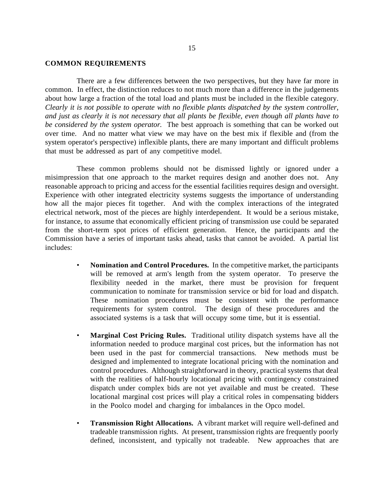### **COMMON REQUIREMENTS**

There are a few differences between the two perspectives, but they have far more in common. In effect, the distinction reduces to not much more than a difference in the judgements about how large a fraction of the total load and plants must be included in the flexible category. *Clearly it is not possible to operate with no flexible plants dispatched by the system controller, and just as clearly it is not necessary that all plants be flexible, even though all plants have to be considered by the system operator.* The best approach is something that can be worked out over time. And no matter what view we may have on the best mix if flexible and (from the system operator's perspective) inflexible plants, there are many important and difficult problems that must be addressed as part of any competitive model.

These common problems should not be dismissed lightly or ignored under a misimpression that one approach to the market requires design and another does not. Any reasonable approach to pricing and access for the essential facilities requires design and oversight. Experience with other integrated electricity systems suggests the importance of understanding how all the major pieces fit together. And with the complex interactions of the integrated electrical network, most of the pieces are highly interdependent. It would be a serious mistake, for instance, to assume that economically efficient pricing of transmission use could be separated from the short-term spot prices of efficient generation. Hence, the participants and the Commission have a series of important tasks ahead, tasks that cannot be avoided. A partial list includes:

- **Nomination and Control Procedures.** In the competitive market, the participants will be removed at arm's length from the system operator. To preserve the flexibility needed in the market, there must be provision for frequent communication to nominate for transmission service or bid for load and dispatch. These nomination procedures must be consistent with the performance requirements for system control. The design of these procedures and the associated systems is a task that will occupy some time, but it is essential.
- **Marginal Cost Pricing Rules.** Traditional utility dispatch systems have all the information needed to produce marginal cost prices, but the information has not been used in the past for commercial transactions. New methods must be designed and implemented to integrate locational pricing with the nomination and control procedures. Although straightforward in theory, practical systems that deal with the realities of half-hourly locational pricing with contingency constrained dispatch under complex bids are not yet available and must be created. These locational marginal cost prices will play a critical roles in compensating bidders in the Poolco model and charging for imbalances in the Opco model.
- **Transmission Right Allocations.** A vibrant market will require well-defined and tradeable transmission rights. At present, transmission rights are frequently poorly defined, inconsistent, and typically not tradeable. New approaches that are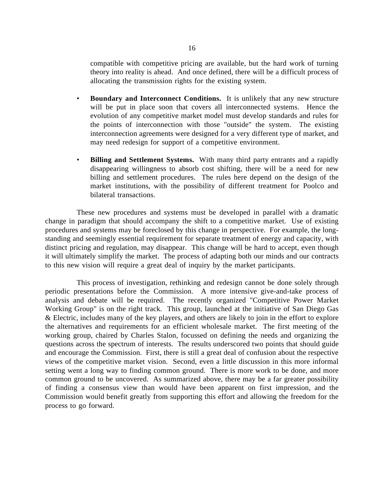compatible with competitive pricing are available, but the hard work of turning theory into reality is ahead. And once defined, there will be a difficult process of allocating the transmission rights for the existing system.

- **Boundary and Interconnect Conditions.** It is unlikely that any new structure will be put in place soon that covers all interconnected systems. Hence the evolution of any competitive market model must develop standards and rules for the points of interconnection with those "outside" the system. The existing interconnection agreements were designed for a very different type of market, and may need redesign for support of a competitive environment.
- **Billing and Settlement Systems.** With many third party entrants and a rapidly disappearing willingness to absorb cost shifting, there will be a need for new billing and settlement procedures. The rules here depend on the design of the market institutions, with the possibility of different treatment for Poolco and bilateral transactions.

These new procedures and systems must be developed in parallel with a dramatic change in paradigm that should accompany the shift to a competitive market. Use of existing procedures and systems may be foreclosed by this change in perspective. For example, the longstanding and seemingly essential requirement for separate treatment of energy and capacity, with distinct pricing and regulation, may disappear. This change will be hard to accept, even though it will ultimately simplify the market. The process of adapting both our minds and our contracts to this new vision will require a great deal of inquiry by the market participants.

This process of investigation, rethinking and redesign cannot be done solely through periodic presentations before the Commission. A more intensive give-and-take process of analysis and debate will be required. The recently organized "Competitive Power Market Working Group" is on the right track. This group, launched at the initiative of San Diego Gas & Electric, includes many of the key players, and others are likely to join in the effort to explore the alternatives and requirements for an efficient wholesale market. The first meeting of the working group, chaired by Charles Stalon, focussed on defining the needs and organizing the questions across the spectrum of interests. The results underscored two points that should guide and encourage the Commission. First, there is still a great deal of confusion about the respective views of the competitive market vision. Second, even a little discussion in this more informal setting went a long way to finding common ground. There is more work to be done, and more common ground to be uncovered. As summarized above, there may be a far greater possibility of finding a consensus view than would have been apparent on first impression, and the Commission would benefit greatly from supporting this effort and allowing the freedom for the process to go forward.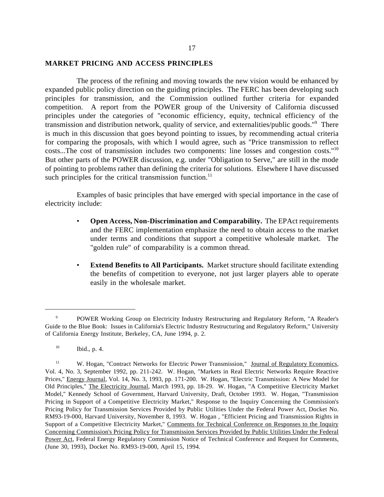### **MARKET PRICING AND ACCESS PRINCIPLES**

The process of the refining and moving towards the new vision would be enhanced by expanded public policy direction on the guiding principles. The FERC has been developing such principles for transmission, and the Commission outlined further criteria for expanded competition. A report from the POWER group of the University of California discussed principles under the categories of "economic efficiency, equity, technical efficiency of the transmission and distribution network, quality of service, and externalities/public goods."<sup>9</sup> There is much in this discussion that goes beyond pointing to issues, by recommending actual criteria for comparing the proposals, with which I would agree, such as "Price transmission to reflect costs...The cost of transmission includes two components: line losses and congestion costs."10 But other parts of the POWER discussion, e.g. under "Obligation to Serve," are still in the mode of pointing to problems rather than defining the criteria for solutions. Elsewhere I have discussed such principles for the critical transmission function. $^{11}$ 

Examples of basic principles that have emerged with special importance in the case of electricity include:

- **Open Access, Non-Discrimination and Comparability.** The EPAct requirements and the FERC implementation emphasize the need to obtain access to the market under terms and conditions that support a competitive wholesale market. The "golden rule" of comparability is a common thread.
- **Extend Benefits to All Participants.** Market structure should facilitate extending the benefits of competition to everyone, not just larger players able to operate easily in the wholesale market.

 <sup>9</sup> POWER Working Group on Electricity Industry Restructuring and Regulatory Reform, "A Reader's Guide to the Blue Book: Issues in California's Electric Industry Restructuring and Regulatory Reform," University of California Energy Institute, Berkeley, CA, June 1994, p. 2.

 $10$  Ibid., p. 4.

<sup>&</sup>lt;sup>11</sup> W. Hogan, "Contract Networks for Electric Power Transmission," Journal of Regulatory Economics, Vol. 4, No. 3, September 1992, pp. 211-242. W. Hogan, "Markets in Real Electric Networks Require Reactive Prices," Energy Journal, Vol. 14, No. 3, 1993, pp. 171-200. W. Hogan, "Electric Transmission: A New Model for Old Principles," The Electricity Journal, March 1993, pp. 18-29. W. Hogan, "A Competitive Electricity Market Model," Kennedy School of Government, Harvard University, Draft, October 1993. W. Hogan, "Transmission Pricing in Support of a Competitive Electricity Market," Response to the Inquiry Concerning the Commission's Pricing Policy for Transmission Services Provided by Public Utilities Under the Federal Power Act, Docket No. RM93-19-000, Harvard University, November 8, 1993. W. Hogan , "Efficient Pricing and Transmission Rights in Support of a Competitive Electricity Market," Comments for Technical Conference on Responses to the Inquiry Concerning Commission's Pricing Policy for Transmission Services Provided by Public Utilities Under the Federal Power Act, Federal Energy Regulatory Commission Notice of Technical Conference and Request for Comments, (June 30, 1993), Docket No. RM93-19-000, April 15, 1994.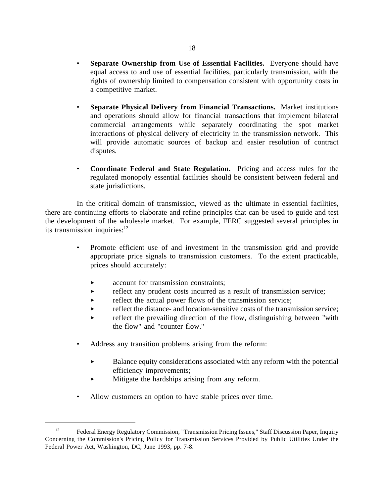- **Separate Ownership from Use of Essential Facilities.** Everyone should have equal access to and use of essential facilities, particularly transmission, with the rights of ownership limited to compensation consistent with opportunity costs in a competitive market.
- **Separate Physical Delivery from Financial Transactions.** Market institutions and operations should allow for financial transactions that implement bilateral commercial arrangements while separately coordinating the spot market interactions of physical delivery of electricity in the transmission network. This will provide automatic sources of backup and easier resolution of contract disputes.
- **Coordinate Federal and State Regulation.** Pricing and access rules for the regulated monopoly essential facilities should be consistent between federal and state jurisdictions.

In the critical domain of transmission, viewed as the ultimate in essential facilities, there are continuing efforts to elaborate and refine principles that can be used to guide and test the development of the wholesale market. For example, FERC suggested several principles in its transmission inquiries: $12$ 

- Promote efficient use of and investment in the transmission grid and provide appropriate price signals to transmission customers. To the extent practicable, prices should accurately:
	- account for transmission constraints;
	- reflect any prudent costs incurred as a result of transmission service;
	- reflect the actual power flows of the transmission service;
	- $\blacktriangleright$  reflect the distance- and location-sensitive costs of the transmission service;
	- reflect the prevailing direction of the flow, distinguishing between "with the flow" and "counter flow."
- Address any transition problems arising from the reform:
	- Balance equity considerations associated with any reform with the potential efficiency improvements;
	- Mitigate the hardships arising from any reform.
- Allow customers an option to have stable prices over time.

<sup>&</sup>lt;sup>12</sup> Federal Energy Regulatory Commission, "Transmission Pricing Issues," Staff Discussion Paper, Inquiry Concerning the Commission's Pricing Policy for Transmission Services Provided by Public Utilities Under the Federal Power Act, Washington, DC, June 1993, pp. 7-8.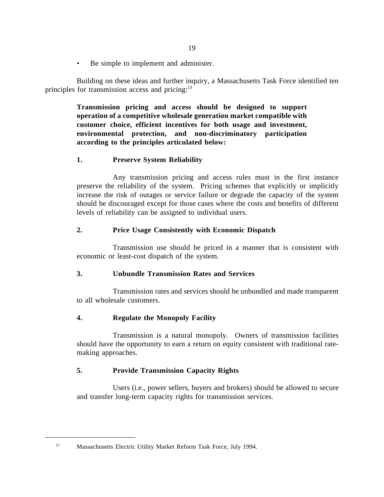• Be simple to implement and administer.

Building on these ideas and further inquiry, a Massachusetts Task Force identified ten principles for transmission access and pricing:<sup>13</sup>

> **Transmission pricing and access should be designed to support operation of a competitive wholesale generation market compatible with customer choice, efficient incentives for both usage and investment, environmental protection, and non-discriminatory participation according to the principles articulated below:**

## **1. Preserve System Reliability**

Any transmission pricing and access rules must in the first instance preserve the reliability of the system. Pricing schemes that explicitly or implicitly increase the risk of outages or service failure or degrade the capacity of the system should be discouraged except for those cases where the costs and benefits of different levels of reliability can be assigned to individual users.

## **2. Price Usage Consistently with Economic Dispatch**

Transmission use should be priced in a manner that is consistent with economic or least-cost dispatch of the system.

## **3. Unbundle Transmission Rates and Services**

Transmission rates and services should be unbundled and made transparent to all wholesale customers.

# **4. Regulate the Monopoly Facility**

Transmission is a natural monopoly. Owners of transmission facilities should have the opportunity to earn a return on equity consistent with traditional ratemaking approaches.

## **5. Provide Transmission Capacity Rights**

Users (i.e., power sellers, buyers and brokers) should be allowed to secure and transfer long-term capacity rights for transmission services.

 <sup>13</sup> Massachusetts Electric Utility Market Reform Task Force, July 1994.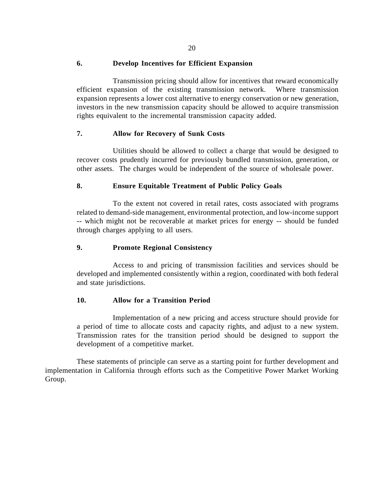## **6. Develop Incentives for Efficient Expansion**

Transmission pricing should allow for incentives that reward economically efficient expansion of the existing transmission network. Where transmission expansion represents a lower cost alternative to energy conservation or new generation, investors in the new transmission capacity should be allowed to acquire transmission rights equivalent to the incremental transmission capacity added.

## **7. Allow for Recovery of Sunk Costs**

Utilities should be allowed to collect a charge that would be designed to recover costs prudently incurred for previously bundled transmission, generation, or other assets. The charges would be independent of the source of wholesale power.

## **8. Ensure Equitable Treatment of Public Policy Goals**

To the extent not covered in retail rates, costs associated with programs related to demand-side management, environmental protection, and low-income support -- which might not be recoverable at market prices for energy -- should be funded through charges applying to all users.

### **9. Promote Regional Consistency**

Access to and pricing of transmission facilities and services should be developed and implemented consistently within a region, coordinated with both federal and state jurisdictions.

## **10. Allow for a Transition Period**

Implementation of a new pricing and access structure should provide for a period of time to allocate costs and capacity rights, and adjust to a new system. Transmission rates for the transition period should be designed to support the development of a competitive market.

These statements of principle can serve as a starting point for further development and implementation in California through efforts such as the Competitive Power Market Working Group.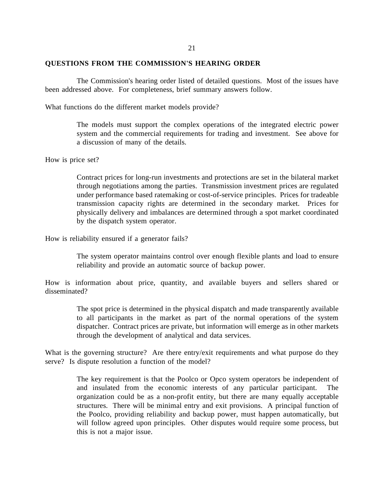### 21

### **QUESTIONS FROM THE COMMISSION'S HEARING ORDER**

The Commission's hearing order listed of detailed questions. Most of the issues have been addressed above. For completeness, brief summary answers follow.

What functions do the different market models provide?

The models must support the complex operations of the integrated electric power system and the commercial requirements for trading and investment. See above for a discussion of many of the details.

How is price set?

Contract prices for long-run investments and protections are set in the bilateral market through negotiations among the parties. Transmission investment prices are regulated under performance based ratemaking or cost-of-service principles. Prices for tradeable transmission capacity rights are determined in the secondary market. Prices for physically delivery and imbalances are determined through a spot market coordinated by the dispatch system operator.

How is reliability ensured if a generator fails?

The system operator maintains control over enough flexible plants and load to ensure reliability and provide an automatic source of backup power.

How is information about price, quantity, and available buyers and sellers shared or disseminated?

> The spot price is determined in the physical dispatch and made transparently available to all participants in the market as part of the normal operations of the system dispatcher. Contract prices are private, but information will emerge as in other markets through the development of analytical and data services.

What is the governing structure? Are there entry/exit requirements and what purpose do they serve? Is dispute resolution a function of the model?

> The key requirement is that the Poolco or Opco system operators be independent of and insulated from the economic interests of any particular participant. The organization could be as a non-profit entity, but there are many equally acceptable structures. There will be minimal entry and exit provisions. A principal function of the Poolco, providing reliability and backup power, must happen automatically, but will follow agreed upon principles. Other disputes would require some process, but this is not a major issue.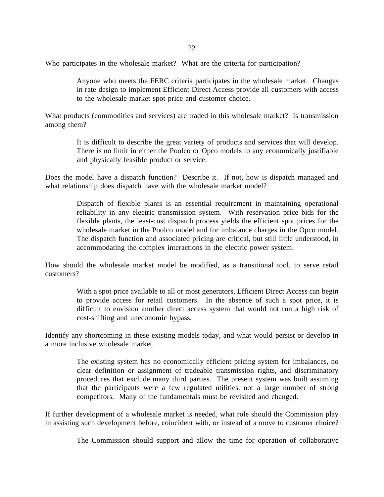Who participates in the wholesale market? What are the criteria for participation?

Anyone who meets the FERC criteria participates in the wholesale market. Changes in rate design to implement Efficient Direct Access provide all customers with access to the wholesale market spot price and customer choice.

What products (commodities and services) are traded in this wholesale market? Is transmission among them?

> It is difficult to describe the great variety of products and services that will develop. There is no limit in either the Poolco or Opco models to any economically justifiable and physically feasible product or service.

Does the model have a dispatch function? Describe it. If not, how is dispatch managed and what relationship does dispatch have with the wholesale market model?

> Dispatch of flexible plants is an essential requirement in maintaining operational reliability in any electric transmission system. With reservation price bids for the flexible plants, the least-cost dispatch process yields the efficient spot prices for the wholesale market in the Poolco model and for imbalance charges in the Opco model. The dispatch function and associated pricing are critical, but still little understood, in accommodating the complex interactions in the electric power system.

How should the wholesale market model be modified, as a transitional tool, to serve retail customers?

> With a spot price available to all or most generators, Efficient Direct Access can begin to provide access for retail customers. In the absence of such a spot price, it is difficult to envision another direct access system that would not run a high risk of cost-shifting and uneconomic bypass.

Identify any shortcoming in these existing models today, and what would persist or develop in a more inclusive wholesale market.

> The existing system has no economically efficient pricing system for imbalances, no clear definition or assignment of tradeable transmission rights, and discriminatory procedures that exclude many third parties. The present system was built assuming that the participants were a few regulated utilities, not a large number of strong competitors. Many of the fundamentals must be revisited and changed.

If further development of a wholesale market is needed, what role should the Commission play in assisting such development before, coincident with, or instead of a move to customer choice?

The Commission should support and allow the time for operation of collaborative